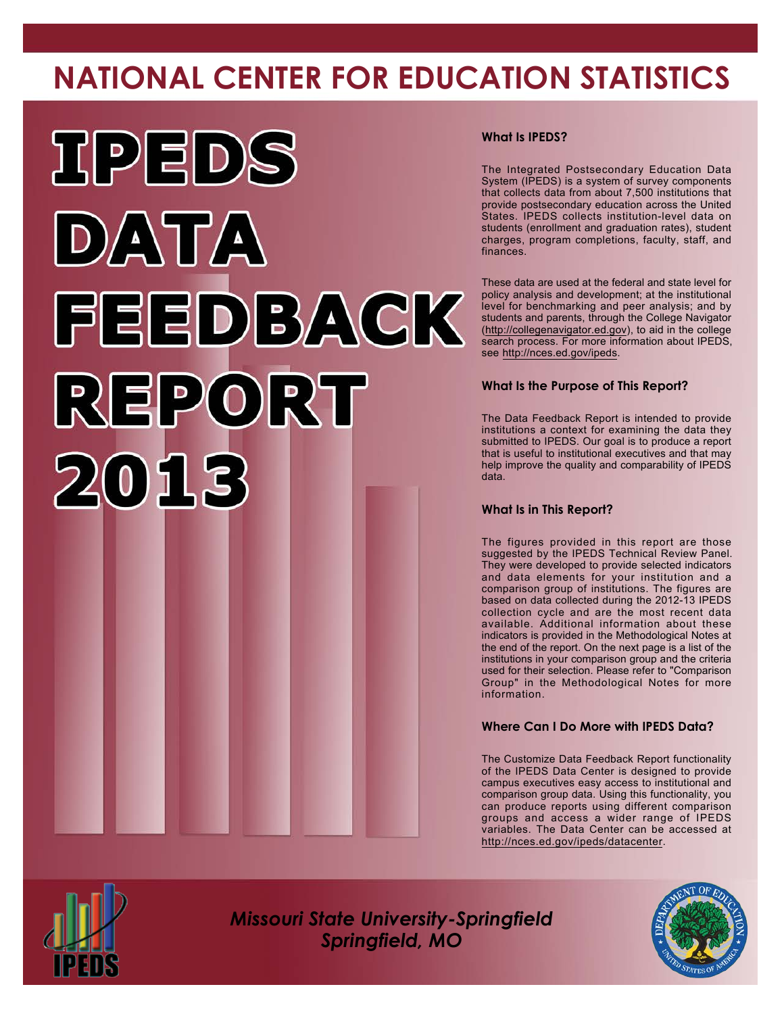# **NATIONAL CENTER FOR EDUCATION STATISTICS**



#### **What Is IPEDS?**

The Integrated Postsecondary Education Data System (IPEDS) is a system of survey components that collects data from about 7,500 institutions that provide postsecondary education across the United States. IPEDS collects institution-level data on students (enrollment and graduation rates), student charges, program completions, faculty, staff, and finances.

These data are used at the federal and state level for policy analysis and development; at the institutional level for benchmarking and peer analysis; and by students and parents, through the College Navigator [\(http://collegenavigator.ed.gov\)](http://collegenavigator.ed.gov), to aid in the college search process. For more information about IPEDS, see <http://nces.ed.gov/ipeds>.

#### **What Is the Purpose of This Report?**

The Data Feedback Report is intended to provide institutions a context for examining the data they submitted to IPEDS. Our goal is to produce a report that is useful to institutional executives and that may help improve the quality and comparability of IPEDS data.

#### **What Is in This Report?**

The figures provided in this report are those suggested by the IPEDS Technical Review Panel. They were developed to provide selected indicators and data elements for your institution and a comparison group of institutions. The figures are based on data collected during the 2012-13 IPEDS collection cycle and are the most recent data available. Additional information about these indicators is provided in the Methodological Notes at the end of the report. On the next page is a list of the institutions in your comparison group and the criteria used for their selection. Please refer to "Comparison Group" in the Methodological Notes for more information.

#### **Where Can I Do More with IPEDS Data?**

The Customize Data Feedback Report functionality of the IPEDS Data Center is designed to provide campus executives easy access to institutional and comparison group data. Using this functionality, you can produce reports using different comparison groups and access a wider range of IPEDS variables. The Data Center can be accessed at <http://nces.ed.gov/ipeds/datacenter>.



*Missouri State University-Springfield Springfield, MO*

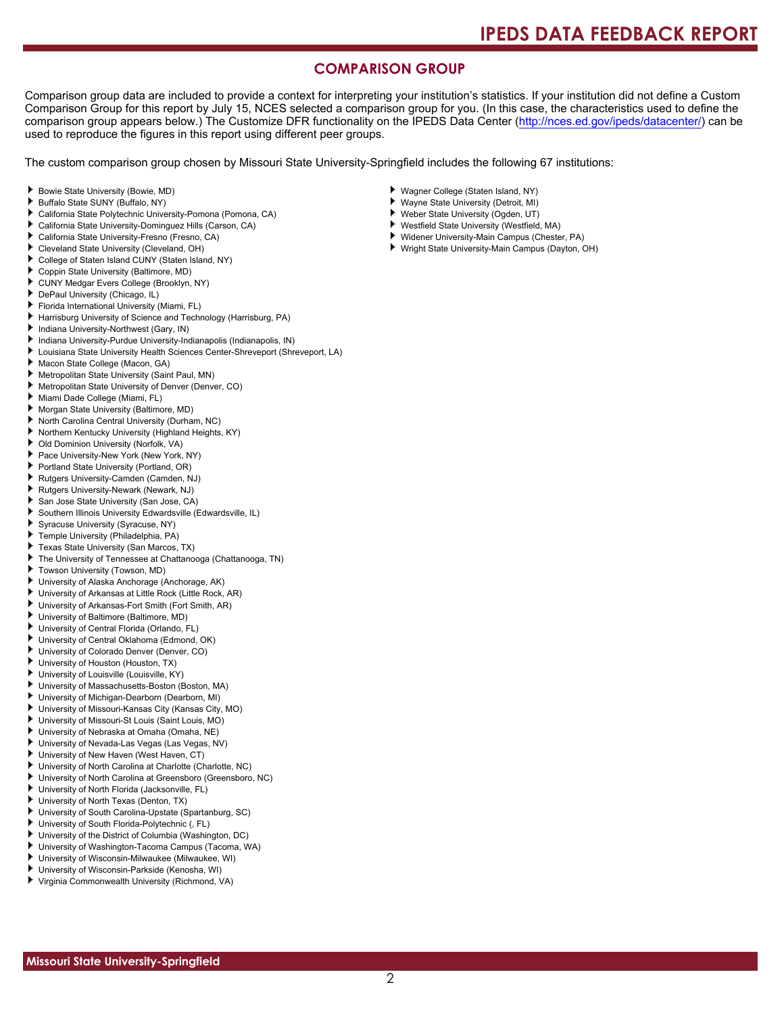### **COMPARISON GROUP**

Comparison group data are included to provide a context for interpreting your institution's statistics. If your institution did not define a Custom Comparison Group for this report by July 15, NCES selected a comparison group for you. (In this case, the characteristics used to define the comparison group appears below.) The Customize DFR functionality on the IPEDS Data Center [\(http://nces.ed.gov/ipeds/datacenter/\)](http://nces.ed.gov/ipeds/datacenter/) can be used to reproduce the figures in this report using different peer groups.

The custom comparison group chosen by Missouri State University-Springfield includes the following 67 institutions:

- Bowie State University (Bowie, MD)
- Buffalo State SUNY (Buffalo, NY)
- California State Polytechnic University-Pomona (Pomona, CA)
- ь California State University-Dominguez Hills (Carson, CA)
- California State University-Fresno (Fresno, CA)
- Cleveland State University (Cleveland, OH)
- College of Staten Island CUNY (Staten Island, NY)
- Coppin State University (Baltimore, MD)
- CUNY Medgar Evers College (Brooklyn, NY)
- DePaul University (Chicago, IL)
- Florida International University (Miami, FL)
- Harrisburg University of Science and Technology (Harrisburg, PA)
- Indiana University-Northwest (Gary, IN)
- Indiana University-Purdue University-Indianapolis (Indianapolis, IN)
- Louisiana State University Health Sciences Center-Shreveport (Shreveport, LA)
- Macon State College (Macon, GA)
- Metropolitan State University (Saint Paul, MN)
- Metropolitan State University of Denver (Denver, CO)
- Miami Dade College (Miami, FL)
- Morgan State University (Baltimore, MD)
- North Carolina Central University (Durham, NC)
- Northern Kentucky University (Highland Heights, KY)
- Old Dominion University (Norfolk, VA)
- Pace University-New York (New York, NY)
- Portland State University (Portland, OR)
- Rutgers University-Camden (Camden, NJ)
- Rutgers University-Newark (Newark, NJ)
- San Jose State University (San Jose, CA)
- Southern Illinois University Edwardsville (Edwardsville, IL)
- Syracuse University (Syracuse, NY)
- Temple University (Philadelphia, PA)
- Texas State University (San Marcos, TX)
- The University of Tennessee at Chattanooga (Chattanooga, TN)
- Towson University (Towson, MD)
- University of Alaska Anchorage (Anchorage, AK)
- University of Arkansas at Little Rock (Little Rock, AR)
- University of Arkansas-Fort Smith (Fort Smith, AR)
- University of Baltimore (Baltimore, MD)
- University of Central Florida (Orlando, FL)
- University of Central Oklahoma (Edmond, OK)
- University of Colorado Denver (Denver, CO)
- University of Houston (Houston, TX)
- University of Louisville (Louisville, KY)
- University of Massachusetts-Boston (Boston, MA)
- University of Michigan-Dearborn (Dearborn, MI)
- University of Missouri-Kansas City (Kansas City, MO)
- University of Missouri-St Louis (Saint Louis, MO)
- University of Nebraska at Omaha (Omaha, NE)
- University of Nevada-Las Vegas (Las Vegas, NV)
- University of New Haven (West Haven, CT)
- University of North Carolina at Charlotte (Charlotte, NC)
- University of North Carolina at Greensboro (Greensboro, NC)
- University of North Florida (Jacksonville, FL)
- University of North Texas (Denton, TX)
- University of South Carolina-Upstate (Spartanburg, SC)
- University of South Florida-Polytechnic (, FL)
- ۱. University of the District of Columbia (Washington, DC)
- University of Washington-Tacoma Campus (Tacoma, WA)
- University of Wisconsin-Milwaukee (Milwaukee, WI)
- University of Wisconsin-Parkside (Kenosha, WI)
- Virginia Commonwealth University (Richmond, VA)
- Wagner College (Staten Island, NY)
- Wayne State University (Detroit, MI)
- Weber State University (Ogden, UT)
- ¥. Westfield State University (Westfield, MA)
- Widener University-Main Campus (Chester, PA)
- Wright State University-Main Campus (Dayton, OH)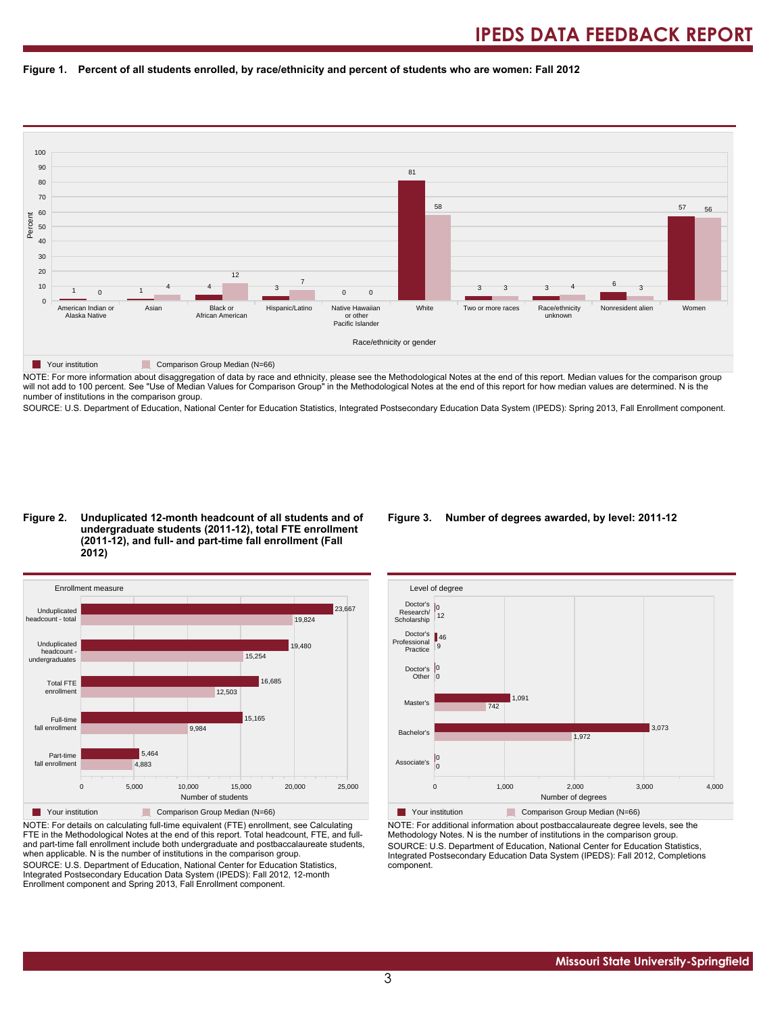#### **Figure 1. Percent of all students enrolled, by race/ethnicity and percent of students who are women: Fall 2012**



NOTE: For more information about disaggregation of data by race and ethnicity, please see the Methodological Notes at the end of this report. Median values for the comparison group will not add to 100 percent. See "Use of Median Values for Comparison Group" in the Methodological Notes at the end of this report for how median values are determined. N is the number of institutions in the comparison group.

SOURCE: U.S. Department of Education, National Center for Education Statistics, Integrated Postsecondary Education Data System (IPEDS): Spring 2013, Fall Enrollment component.

#### **Figure 2. Unduplicated 12-month headcount of all students and of undergraduate students (2011-12), total FTE enrollment (2011-12), and full- and part-time fall enrollment (Fall 2012)**



NOTE: For details on calculating full-time equivalent (FTE) enrollment, see Calculating FTE in the Methodological Notes at the end of this report. Total headcount, FTE, and fulland part-time fall enrollment include both undergraduate and postbaccalaureate students, when applicable. N is the number of institutions in the comparison group. SOURCE: U.S. Department of Education, National Center for Education Statistics, Integrated Postsecondary Education Data System (IPEDS): Fall 2012, 12-month Enrollment component and Spring 2013, Fall Enrollment component.

#### **Figure 3. Number of degrees awarded, by level: 2011-12**



NOTE: For additional information about postbaccalaureate degree levels, see the Methodology Notes. N is the number of institutions in the comparison group. SOURCE: U.S. Department of Education, National Center for Education Statistics, Integrated Postsecondary Education Data System (IPEDS): Fall 2012, Completions component.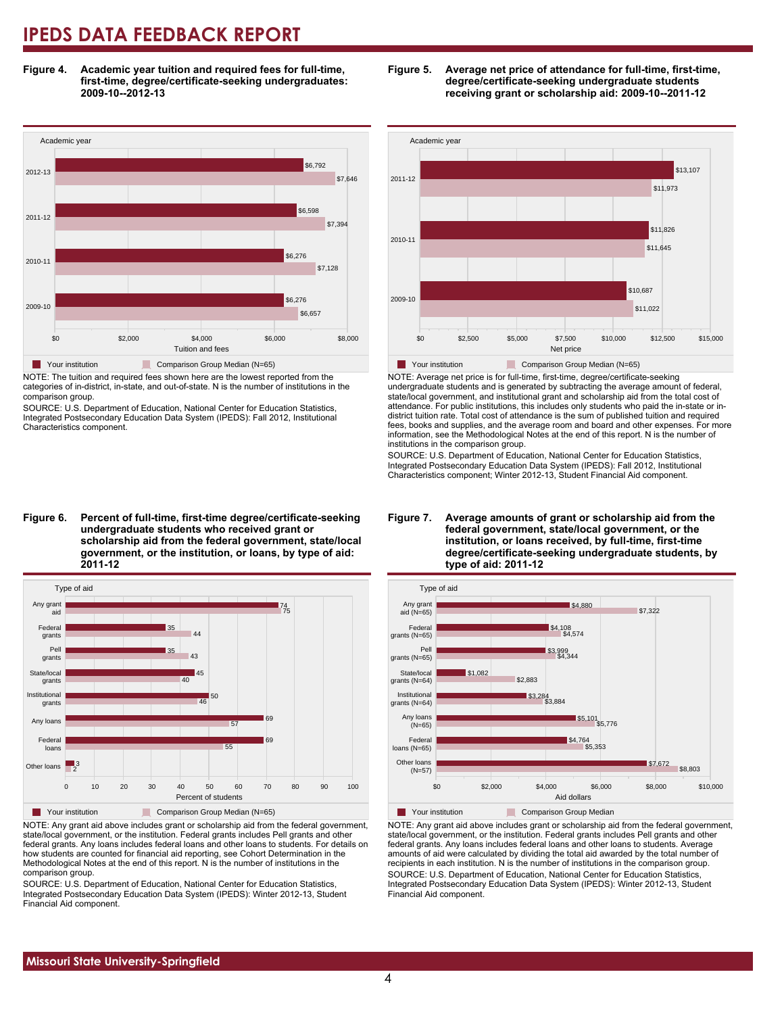**Figure 4. Academic year tuition and required fees for full-time, first-time, degree/certificate-seeking undergraduates: 2009-10--2012-13**



NOTE: The tuition and required fees shown here are the lowest reported from the categories of in-district, in-state, and out-of-state. N is the number of institutions in the comparison group.

SOURCE: U.S. Department of Education, National Center for Education Statistics, Integrated Postsecondary Education Data System (IPEDS): Fall 2012, Institutional Characteristics component.





NOTE: Any grant aid above includes grant or scholarship aid from the federal government, state/local government, or the institution. Federal grants includes Pell grants and other federal grants. Any loans includes federal loans and other loans to students. For details on how students are counted for financial aid reporting, see Cohort Determination in the Methodological Notes at the end of this report. N is the number of institutions in the comparison group.

SOURCE: U.S. Department of Education, National Center for Education Statistics, Integrated Postsecondary Education Data System (IPEDS): Winter 2012-13, Student Financial Aid component.





NOTE: Average net price is for full-time, first-time, degree/certificate-seeking undergraduate students and is generated by subtracting the average amount of federal, state/local government, and institutional grant and scholarship aid from the total cost of attendance. For public institutions, this includes only students who paid the in-state or indistrict tuition rate. Total cost of attendance is the sum of published tuition and required fees, books and supplies, and the average room and board and other expenses. For more information, see the Methodological Notes at the end of this report. N is the number of institutions in the comparison group.

SOURCE: U.S. Department of Education, National Center for Education Statistics, Integrated Postsecondary Education Data System (IPEDS): Fall 2012, Institutional Characteristics component; Winter 2012-13, Student Financial Aid component.





NOTE: Any grant aid above includes grant or scholarship aid from the federal government, state/local government, or the institution. Federal grants includes Pell grants and other federal grants. Any loans includes federal loans and other loans to students. Average amounts of aid were calculated by dividing the total aid awarded by the total number of recipients in each institution. N is the number of institutions in the comparison group. SOURCE: U.S. Department of Education, National Center for Education Statistics, Integrated Postsecondary Education Data System (IPEDS): Winter 2012-13, Student Financial Aid component.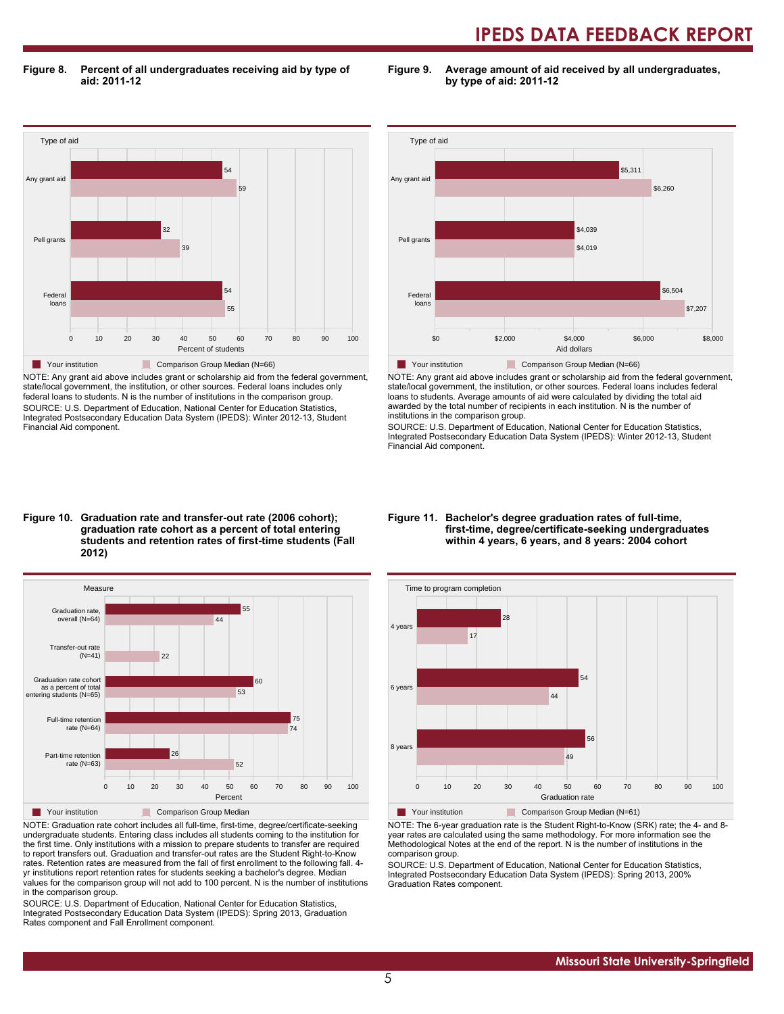**Figure 8. Percent of all undergraduates receiving aid by type of aid: 2011-12**

**Figure 9. Average amount of aid received by all undergraduates, by type of aid: 2011-12**



NOTE: Any grant aid above includes grant or scholarship aid from the federal government, state/local government, the institution, or other sources. Federal loans includes only federal loans to students. N is the number of institutions in the comparison group. SOURCE: U.S. Department of Education, National Center for Education Statistics, Integrated Postsecondary Education Data System (IPEDS): Winter 2012-13, Student Financial Aid component.



NOTE: Any grant aid above includes grant or scholarship aid from the federal government, state/local government, the institution, or other sources. Federal loans includes federal loans to students. Average amounts of aid were calculated by dividing the total aid awarded by the total number of recipients in each institution. N is the number of institutions in the comparison group.

SOURCE: U.S. Department of Education, National Center for Education Statistics, Integrated Postsecondary Education Data System (IPEDS): Winter 2012-13, Student Financial Aid component.

#### **Figure 10. Graduation rate and transfer-out rate (2006 cohort); graduation rate cohort as a percent of total entering students and retention rates of first-time students (Fall 2012)**



NOTE: Graduation rate cohort includes all full-time, first-time, degree/certificate-seeking undergraduate students. Entering class includes all students coming to the institution for the first time. Only institutions with a mission to prepare students to transfer are required to report transfers out. Graduation and transfer-out rates are the Student Right-to-Know rates. Retention rates are measured from the fall of first enrollment to the following fall. 4 yr institutions report retention rates for students seeking a bachelor's degree. Median values for the comparison group will not add to 100 percent. N is the number of institutions in the comparison group.

SOURCE: U.S. Department of Education, National Center for Education Statistics, Integrated Postsecondary Education Data System (IPEDS): Spring 2013, Graduation Rates component and Fall Enrollment component.

#### **Figure 11. Bachelor's degree graduation rates of full-time, first-time, degree/certificate-seeking undergraduates within 4 years, 6 years, and 8 years: 2004 cohort**



NOTE: The 6-year graduation rate is the Student Right-to-Know (SRK) rate; the 4- and 8 year rates are calculated using the same methodology. For more information see the Methodological Notes at the end of the report. N is the number of institutions in the comparison group.

SOURCE: U.S. Department of Education, National Center for Education Statistics, Integrated Postsecondary Education Data System (IPEDS): Spring 2013, 200% Graduation Rates component.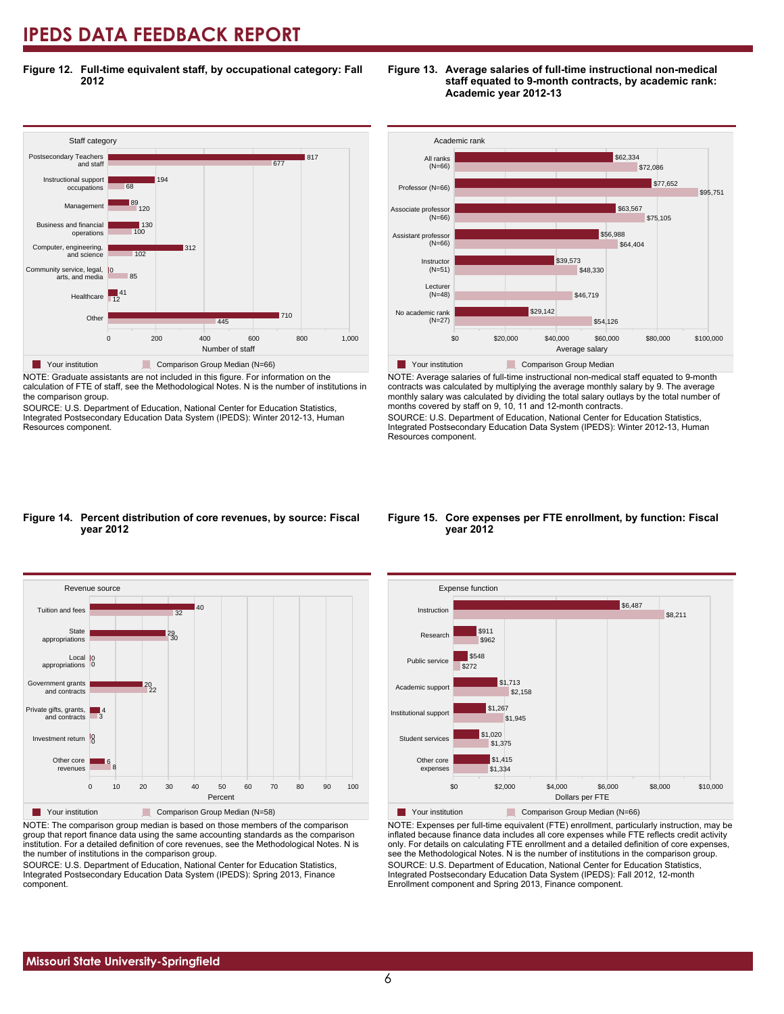**Figure 12. Full-time equivalent staff, by occupational category: Fall 2012**



NOTE: Graduate assistants are not included in this figure. For information on the calculation of FTE of staff, see the Methodological Notes. N is the number of institutions in

the comparison group. SOURCE: U.S. Department of Education, National Center for Education Statistics,

Integrated Postsecondary Education Data System (IPEDS): Winter 2012-13, Human Resources component.



**Figure 13. Average salaries of full-time instructional non-medical**

**staff equated to 9-month contracts, by academic rank:**

\$0 \$20,000 \$40,000 \$60,000 \$80,000 \$100,000 Average salary **Table Your institution Comparison Group Median** NOTE: Average salaries of full-time instructional non-medical staff equated to 9-month

contracts was calculated by multiplying the average monthly salary by 9. The average monthly salary was calculated by dividing the total salary outlays by the total number of months covered by staff on 9, 10, 11 and 12-month contracts.

SOURCE: U.S. Department of Education, National Center for Education Statistics, Integrated Postsecondary Education Data System (IPEDS): Winter 2012-13, Human Resources component.

#### **Figure 14. Percent distribution of core revenues, by source: Fiscal year 2012**



NOTE: The comparison group median is based on those members of the comparison group that report finance data using the same accounting standards as the comparison institution. For a detailed definition of core revenues, see the Methodological Notes. N is the number of institutions in the comparison group.

SOURCE: U.S. Department of Education, National Center for Education Statistics, Integrated Postsecondary Education Data System (IPEDS): Spring 2013, Finance component.

#### **Figure 15. Core expenses per FTE enrollment, by function: Fiscal year 2012**



NOTE: Expenses per full-time equivalent (FTE) enrollment, particularly instruction, may be inflated because finance data includes all core expenses while FTE reflects credit activity only. For details on calculating FTE enrollment and a detailed definition of core expenses, see the Methodological Notes. N is the number of institutions in the comparison group. SOURCE: U.S. Department of Education, National Center for Education Statistics, Integrated Postsecondary Education Data System (IPEDS): Fall 2012, 12-month Enrollment component and Spring 2013, Finance component.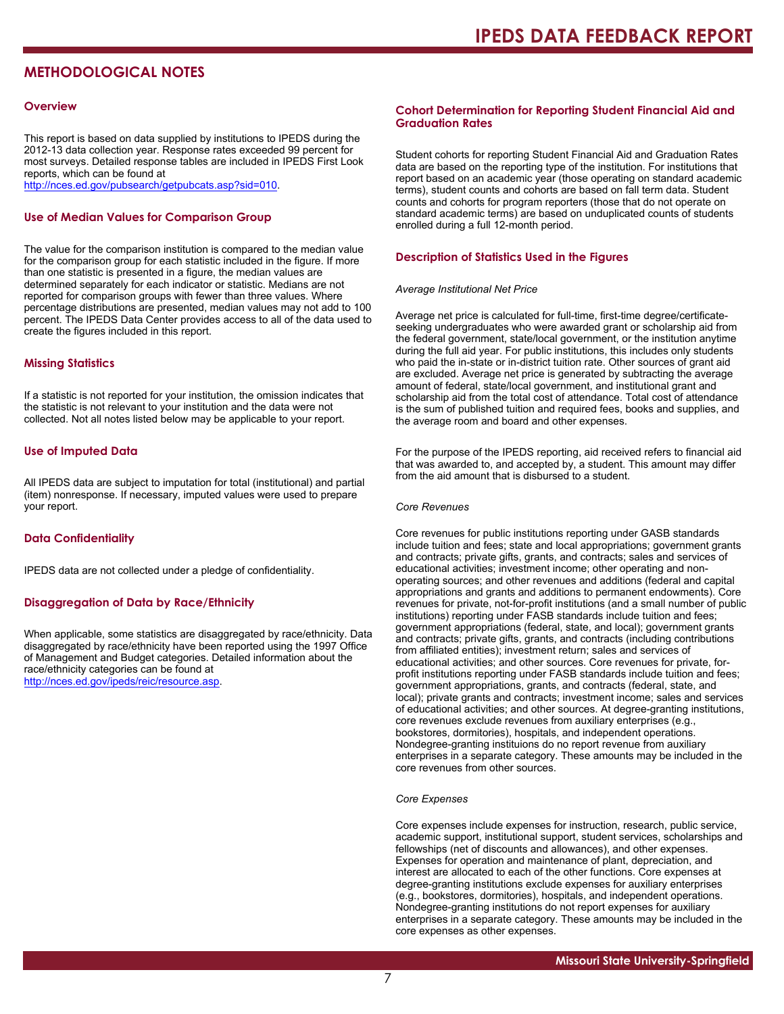### **METHODOLOGICAL NOTES**

#### **Overview**

This report is based on data supplied by institutions to IPEDS during the 2012-13 data collection year. Response rates exceeded 99 percent for most surveys. Detailed response tables are included in IPEDS First Look reports, which can be found at [http://nces.ed.gov/pubsearch/getpubcats.asp?sid=010.](http://nces.ed.gov/pubsearch/getpubcats.asp?sid=010)

#### **Use of Median Values for Comparison Group**

The value for the comparison institution is compared to the median value for the comparison group for each statistic included in the figure. If more than one statistic is presented in a figure, the median values are determined separately for each indicator or statistic. Medians are not reported for comparison groups with fewer than three values. Where percentage distributions are presented, median values may not add to 100 percent. The IPEDS Data Center provides access to all of the data used to create the figures included in this report.

#### **Missing Statistics**

If a statistic is not reported for your institution, the omission indicates that the statistic is not relevant to your institution and the data were not collected. Not all notes listed below may be applicable to your report.

#### **Use of Imputed Data**

All IPEDS data are subject to imputation for total (institutional) and partial (item) nonresponse. If necessary, imputed values were used to prepare your report.

#### **Data Confidentiality**

IPEDS data are not collected under a pledge of confidentiality.

#### **Disaggregation of Data by Race/Ethnicity**

When applicable, some statistics are disaggregated by race/ethnicity. Data disaggregated by race/ethnicity have been reported using the 1997 Office of Management and Budget categories. Detailed information about the race/ethnicity categories can be found at <http://nces.ed.gov/ipeds/reic/resource.asp>.

#### **Cohort Determination for Reporting Student Financial Aid and Graduation Rates**

Student cohorts for reporting Student Financial Aid and Graduation Rates data are based on the reporting type of the institution. For institutions that report based on an academic year (those operating on standard academic terms), student counts and cohorts are based on fall term data. Student counts and cohorts for program reporters (those that do not operate on standard academic terms) are based on unduplicated counts of students enrolled during a full 12-month period.

#### **Description of Statistics Used in the Figures**

#### *Average Institutional Net Price*

Average net price is calculated for full-time, first-time degree/certificateseeking undergraduates who were awarded grant or scholarship aid from the federal government, state/local government, or the institution anytime during the full aid year. For public institutions, this includes only students who paid the in-state or in-district tuition rate. Other sources of grant aid are excluded. Average net price is generated by subtracting the average amount of federal, state/local government, and institutional grant and scholarship aid from the total cost of attendance. Total cost of attendance is the sum of published tuition and required fees, books and supplies, and the average room and board and other expenses.

For the purpose of the IPEDS reporting, aid received refers to financial aid that was awarded to, and accepted by, a student. This amount may differ from the aid amount that is disbursed to a student.

#### *Core Revenues*

Core revenues for public institutions reporting under GASB standards include tuition and fees; state and local appropriations; government grants and contracts; private gifts, grants, and contracts; sales and services of educational activities; investment income; other operating and nonoperating sources; and other revenues and additions (federal and capital appropriations and grants and additions to permanent endowments). Core revenues for private, not-for-profit institutions (and a small number of public institutions) reporting under FASB standards include tuition and fees; government appropriations (federal, state, and local); government grants and contracts; private gifts, grants, and contracts (including contributions from affiliated entities); investment return; sales and services of educational activities; and other sources. Core revenues for private, forprofit institutions reporting under FASB standards include tuition and fees; government appropriations, grants, and contracts (federal, state, and local); private grants and contracts; investment income; sales and services of educational activities; and other sources. At degree-granting institutions, core revenues exclude revenues from auxiliary enterprises (e.g., bookstores, dormitories), hospitals, and independent operations. Nondegree-granting instituions do no report revenue from auxiliary enterprises in a separate category. These amounts may be included in the core revenues from other sources.

#### *Core Expenses*

Core expenses include expenses for instruction, research, public service, academic support, institutional support, student services, scholarships and fellowships (net of discounts and allowances), and other expenses. Expenses for operation and maintenance of plant, depreciation, and interest are allocated to each of the other functions. Core expenses at degree-granting institutions exclude expenses for auxiliary enterprises (e.g., bookstores, dormitories), hospitals, and independent operations. Nondegree-granting institutions do not report expenses for auxiliary enterprises in a separate category. These amounts may be included in the core expenses as other expenses.